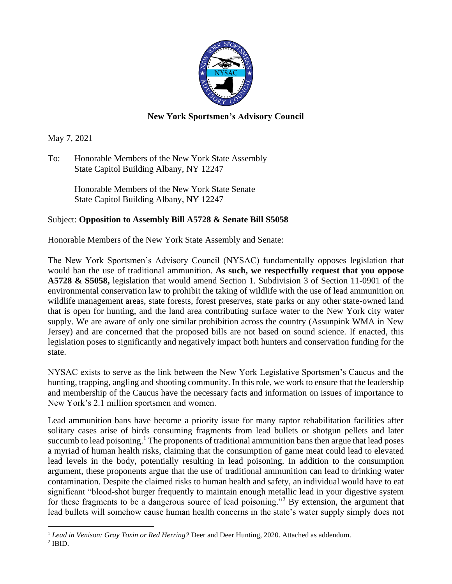

## **New York Sportsmen's Advisory Council**

May 7, 2021

To: Honorable Members of the New York State Assembly State Capitol Building Albany, NY 12247

> Honorable Members of the New York State Senate State Capitol Building Albany, NY 12247

## Subject: **Opposition to Assembly Bill A5728 & Senate Bill S5058**

Honorable Members of the New York State Assembly and Senate:

The New York Sportsmen's Advisory Council (NYSAC) fundamentally opposes legislation that would ban the use of traditional ammunition. **As such, we respectfully request that you oppose A5728 & S5058,** legislation that would amend Section 1. Subdivision 3 of Section 11-0901 of the environmental conservation law to prohibit the taking of wildlife with the use of lead ammunition on wildlife management areas, state forests, forest preserves, state parks or any other state-owned land that is open for hunting, and the land area contributing surface water to the New York city water supply. We are aware of only one similar prohibition across the country (Assunpink WMA in New Jersey) and are concerned that the proposed bills are not based on sound science. If enacted, this legislation poses to significantly and negatively impact both hunters and conservation funding for the state.

NYSAC exists to serve as the link between the New York Legislative Sportsmen's Caucus and the hunting, trapping, angling and shooting community. In this role, we work to ensure that the leadership and membership of the Caucus have the necessary facts and information on issues of importance to New York's 2.1 million sportsmen and women.

Lead ammunition bans have become a priority issue for many raptor rehabilitation facilities after solitary cases arise of birds consuming fragments from lead bullets or shotgun pellets and later succumb to lead poisoning.<sup>1</sup> The proponents of traditional ammunition bans then argue that lead poses a myriad of human health risks, claiming that the consumption of game meat could lead to elevated lead levels in the body, potentially resulting in lead poisoning. In addition to the consumption argument, these proponents argue that the use of traditional ammunition can lead to drinking water contamination. Despite the claimed risks to human health and safety, an individual would have to eat significant "blood-shot burger frequently to maintain enough metallic lead in your digestive system for these fragments to be a dangerous source of lead poisoning."<sup>2</sup> By extension, the argument that lead bullets will somehow cause human health concerns in the state's water supply simply does not

<sup>&</sup>lt;sup>1</sup> Lead in Venison: Gray Toxin or Red Herring? Deer and Deer Hunting, 2020. Attached as addendum.

 $2$  IBID.